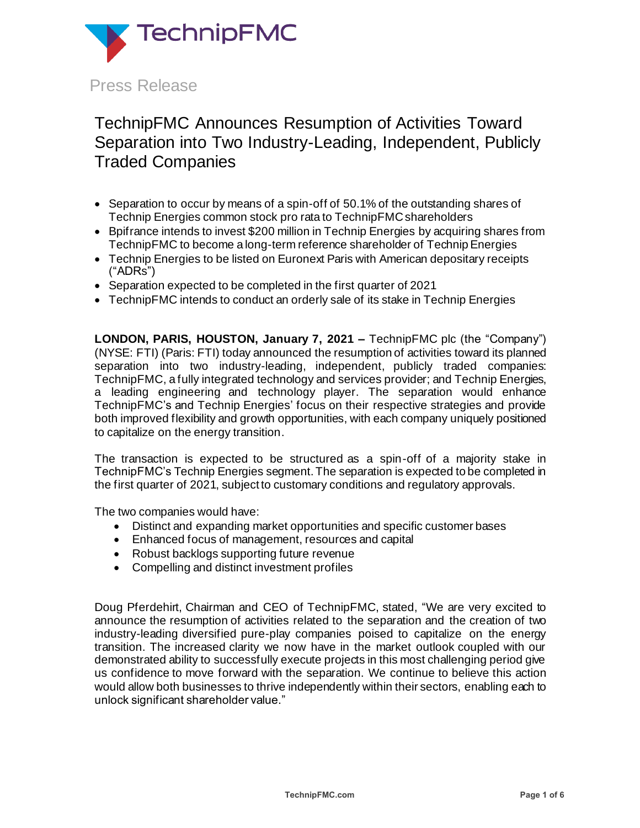

# TechnipFMC Announces Resumption of Activities Toward Separation into Two Industry-Leading, Independent, Publicly Traded Companies

- Separation to occur by means of a spin-off of 50.1% of the outstanding shares of Technip Energies common stock pro rata to TechnipFMC shareholders
- Boifrance intends to invest \$200 million in Technip Energies by acquiring shares from TechnipFMC to become a long-term reference shareholder of Technip Energies
- Technip Energies to be listed on Euronext Paris with American depositary receipts ("ADRs")
- Separation expected to be completed in the first quarter of 2021
- TechnipFMC intends to conduct an orderly sale of its stake in Technip Energies

**LONDON, PARIS, HOUSTON, January 7, 2021 –** TechnipFMC plc (the "Company") (NYSE: FTI) (Paris: FTI) today announced the resumption of activities toward its planned separation into two industry-leading, independent, publicly traded companies: TechnipFMC, a fully integrated technology and services provider; and Technip Energies, a leading engineering and technology player. The separation would enhance TechnipFMC's and Technip Energies' focus on their respective strategies and provide both improved flexibility and growth opportunities, with each company uniquely positioned to capitalize on the energy transition.

The transaction is expected to be structured as a spin-off of a majority stake in TechnipFMC's Technip Energies segment. The separation is expected to be completed in the first quarter of 2021, subject to customary conditions and regulatory approvals.

The two companies would have:

- Distinct and expanding market opportunities and specific customer bases
- Enhanced focus of management, resources and capital
- Robust backlogs supporting future revenue
- Compelling and distinct investment profiles

Doug Pferdehirt, Chairman and CEO of TechnipFMC, stated, "We are very excited to announce the resumption of activities related to the separation and the creation of two industry-leading diversified pure-play companies poised to capitalize on the energy transition. The increased clarity we now have in the market outlook coupled with our demonstrated ability to successfully execute projects in this most challenging period give us confidence to move forward with the separation. We continue to believe this action would allow both businesses to thrive independently within their sectors, enabling each to unlock significant shareholder value."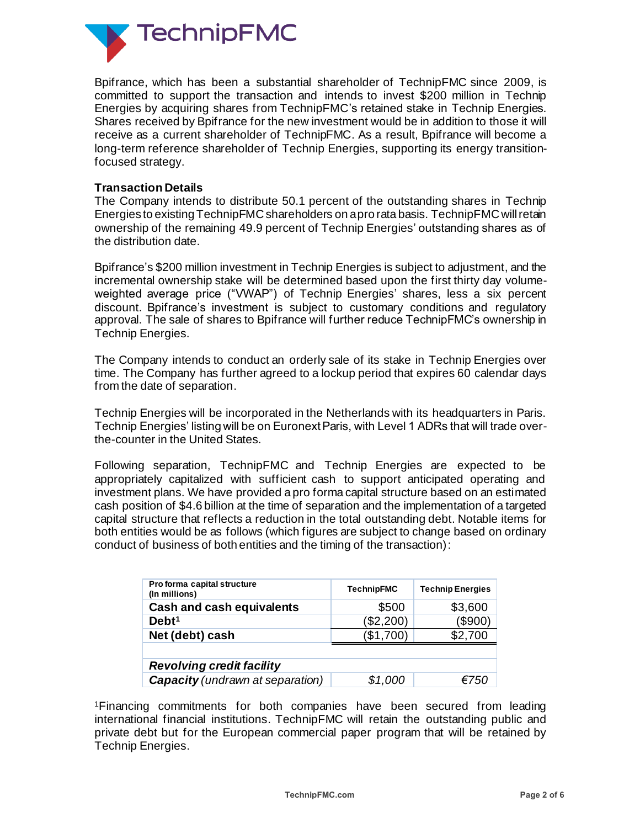

Bpifrance, which has been a substantial shareholder of TechnipFMC since 2009, is committed to support the transaction and intends to invest \$200 million in Technip Energies by acquiring shares from TechnipFMC's retained stake in Technip Energies. Shares received by Bpifrance for the new investment would be in addition to those it will receive as a current shareholder of TechnipFMC. As a result, Bpifrance will become a long-term reference shareholder of Technip Energies, supporting its energy transitionfocused strategy.

## **Transaction Details**

The Company intends to distribute 50.1 percent of the outstanding shares in Technip Energies to existing TechnipFMC shareholders on a pro rata basis. TechnipFMC will retain ownership of the remaining 49.9 percent of Technip Energies' outstanding shares as of the distribution date.

Bpifrance's \$200 million investment in Technip Energies is subject to adjustment, and the incremental ownership stake will be determined based upon the first thirty day volumeweighted average price ("VWAP") of Technip Energies' shares, less a six percent discount. Bpifrance's investment is subject to customary conditions and regulatory approval. The sale of shares to Bpifrance will further reduce TechnipFMC's ownership in Technip Energies.

The Company intends to conduct an orderly sale of its stake in Technip Energies over time. The Company has further agreed to a lockup period that expires 60 calendar days from the date of separation.

Technip Energies will be incorporated in the Netherlands with its headquarters in Paris. Technip Energies' listing will be on Euronext Paris, with Level 1 ADRs that will trade overthe-counter in the United States.

Following separation, TechnipFMC and Technip Energies are expected to be appropriately capitalized with sufficient cash to support anticipated operating and investment plans. We have provided a pro forma capital structure based on an estimated cash position of \$4.6 billion at the time of separation and the implementation of a targeted capital structure that reflects a reduction in the total outstanding debt. Notable items for both entities would be as follows (which figures are subject to change based on ordinary conduct of business of both entities and the timing of the transaction):

| Pro forma capital structure<br>(In millions) | <b>TechnipFMC</b> | <b>Technip Energies</b> |
|----------------------------------------------|-------------------|-------------------------|
| <b>Cash and cash equivalents</b>             | \$500             | \$3,600                 |
| Debt <sup>1</sup>                            | (\$2,200)         | (\$900)                 |
| Net (debt) cash                              | (\$1,700)         | \$2,700                 |
|                                              |                   |                         |
| <b>Revolving credit facility</b>             |                   |                         |
| <b>Capacity</b> (undrawn at separation)      | \$1,000           | 5750                    |

<sup>1</sup>Financing commitments for both companies have been secured from leading international financial institutions. TechnipFMC will retain the outstanding public and private debt but for the European commercial paper program that will be retained by Technip Energies.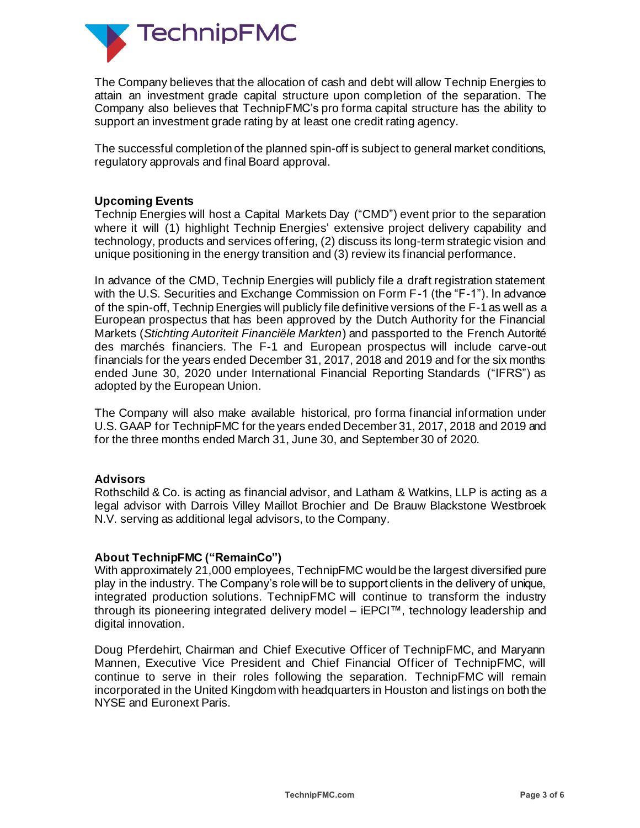

The Company believes that the allocation of cash and debt will allow Technip Energies to attain an investment grade capital structure upon completion of the separation. The Company also believes that TechnipFMC's pro forma capital structure has the ability to support an investment grade rating by at least one credit rating agency.

The successful completion of the planned spin-off is subject to general market conditions, regulatory approvals and final Board approval.

## **Upcoming Events**

Technip Energies will host a Capital Markets Day ("CMD") event prior to the separation where it will (1) highlight Technip Energies' extensive project delivery capability and technology, products and services offering, (2) discuss its long-term strategic vision and unique positioning in the energy transition and (3) review its financial performance.

In advance of the CMD, Technip Energies will publicly file a draft registration statement with the U.S. Securities and Exchange Commission on Form F-1 (the "F-1"). In advance of the spin-off, Technip Energies will publicly file definitive versions of the F-1 as well as a European prospectus that has been approved by the Dutch Authority for the Financial Markets (*Stichting Autoriteit Financiële Markten*) and passported to the French Autorité des marchés financiers. The F-1 and European prospectus will include carve-out financials for the years ended December 31, 2017, 2018 and 2019 and for the six months ended June 30, 2020 under International Financial Reporting Standards ("IFRS") as adopted by the European Union.

The Company will also make available historical, pro forma financial information under U.S. GAAP for TechnipFMC for the years ended December 31, 2017, 2018 and 2019 and for the three months ended March 31, June 30, and September 30 of 2020.

#### **Advisors**

Rothschild & Co. is acting as financial advisor, and Latham & Watkins, LLP is acting as a legal advisor with Darrois Villey Maillot Brochier and De Brauw Blackstone Westbroek N.V. serving as additional legal advisors, to the Company.

#### **About TechnipFMC ("RemainCo")**

With approximately 21,000 employees, TechnipFMC would be the largest diversified pure play in the industry. The Company's role will be to support clients in the delivery of unique, integrated production solutions. TechnipFMC will continue to transform the industry through its pioneering integrated delivery model – iEPCI™, technology leadership and digital innovation.

Doug Pferdehirt, Chairman and Chief Executive Officer of TechnipFMC, and Maryann Mannen, Executive Vice President and Chief Financial Officer of TechnipFMC, will continue to serve in their roles following the separation. TechnipFMC will remain incorporated in the United Kingdom with headquarters in Houston and listings on both the NYSE and Euronext Paris.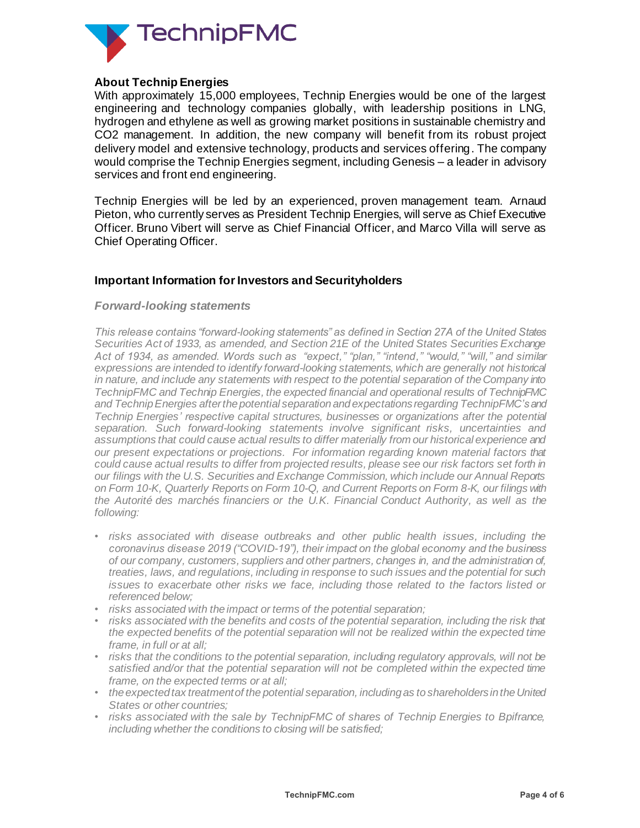

## **About Technip Energies**

With approximately 15,000 employees, Technip Energies would be one of the largest engineering and technology companies globally, with leadership positions in LNG, hydrogen and ethylene as well as growing market positions in sustainable chemistry and CO2 management. In addition, the new company will benefit from its robust project delivery model and extensive technology, products and services offering. The company would comprise the Technip Energies segment, including Genesis – a leader in advisory services and front end engineering.

Technip Energies will be led by an experienced, proven management team. Arnaud Pieton, who currently serves as President Technip Energies, will serve as Chief Executive Officer. Bruno Vibert will serve as Chief Financial Officer, and Marco Villa will serve as Chief Operating Officer.

## **Important Information for Investors and Securityholders**

#### *Forward-looking statements*

*This release contains "forward-looking statements" as defined in Section 27A of the United States Securities Act of 1933, as amended, and Section 21E of the United States Securities Exchange Act of 1934, as amended. Words such as "expect," "plan," "intend," "would," "will," and similar expressions are intended to identify forward-looking statements, which are generally not historical in nature, and include any statements with respect to the potential separation of the Company into TechnipFMC and Technip Energies, the expected financial and operational results of TechnipFMC and Technip Energies after the potential separation and expectations regarding TechnipFMC's and Technip Energies' respective capital structures, businesses or organizations after the potential separation. Such forward-looking statements involve significant risks, uncertainties and assumptions that could cause actual results to differ materially from our historical experience and our present expectations or projections. For information regarding known material factors that could cause actual results to differ from projected results, please see our risk factors set forth in our filings with the U.S. Securities and Exchange Commission, which include our Annual Reports on Form 10-K, Quarterly Reports on Form 10-Q, and Current Reports on Form 8-K, our filings with the Autorité des marchés financiers or the U.K. Financial Conduct Authority, as well as the following:*

- *risks associated with disease outbreaks and other public health issues, including the coronavirus disease 2019 ("COVID-19"), their impact on the global economy and the business of our company, customers, suppliers and other partners, changes in, and the administration of, treaties, laws, and regulations, including in response to such issues and the potential for such issues to exacerbate other risks we face, including those related to the factors listed or referenced below;*
- *risks associated with the impact or terms of the potential separation;*
- *risks associated with the benefits and costs of the potential separation, including the risk that the expected benefits of the potential separation will not be realized within the expected time frame, in full or at all;*
- *risks that the conditions to the potential separation, including regulatory approvals, will not be satisfied and/or that the potential separation will not be completed within the expected time frame, on the expected terms or at all;*
- *the expected tax treatment of the potential separation, including as to shareholders in the United States or other countries;*
- *risks associated with the sale by TechnipFMC of shares of Technip Energies to Bpifrance, including whether the conditions to closing will be satisfied;*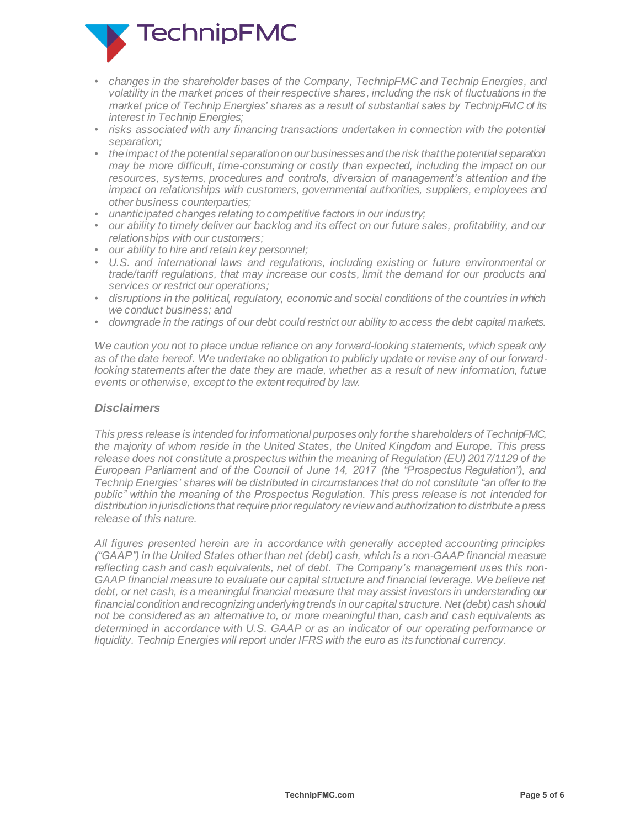

- *changes in the shareholder bases of the Company, TechnipFMC and Technip Energies, and volatility in the market prices of their respective shares, including the risk of fluctuations in the market price of Technip Energies' shares as a result of substantial sales by TechnipFMC of its interest in Technip Energies;*
- *risks associated with any financing transactions undertaken in connection with the potential separation;*
- *the impact of the potential separation on our businesses and the risk that the potential separation may be more difficult, time-consuming or costly than expected, including the impact on our resources, systems, procedures and controls, diversion of management's attention and the impact on relationships with customers, governmental authorities, suppliers, employees and other business counterparties;*
- *unanticipated changes relating to competitive factors in our industry;*
- *our ability to timely deliver our backlog and its effect on our future sales, profitability, and our relationships with our customers;*
- *our ability to hire and retain key personnel;*
- *U.S. and international laws and regulations, including existing or future environmental or trade/tariff regulations, that may increase our costs, limit the demand for our products and services or restrict our operations;*
- *disruptions in the political, regulatory, economic and social conditions of the countries in which we conduct business; and*
- *downgrade in the ratings of our debt could restrict our ability to access the debt capital markets.*

*We caution you not to place undue reliance on any forward-looking statements, which speak only as of the date hereof. We undertake no obligation to publicly update or revise any of our forward*looking statements after the date they are made, whether as a result of new information, future *events or otherwise, except to the extent required by law.*

### *Disclaimers*

*This press release is intended for informational purposes only for the shareholders of TechnipFMC, the majority of whom reside in the United States, the United Kingdom and Europe. This press release does not constitute a prospectus within the meaning of Regulation (EU) 2017/1129 of the European Parliament and of the Council of June 14, 2017 (the "Prospectus Regulation"), and Technip Energies' shares will be distributed in circumstances that do not constitute "an offer to the public" within the meaning of the Prospectus Regulation. This press release is not intended for distribution in jurisdictions that require prior regulatory review and authorization to distribute a press release of this nature.*

*All figures presented herein are in accordance with generally accepted accounting principles ("GAAP") in the United States other than net (debt) cash, which is a non-GAAP financial measure reflecting cash and cash equivalents, net of debt. The Company's management uses this non-GAAP financial measure to evaluate our capital structure and financial leverage. We believe net debt, or net cash, is a meaningful financial measure that may assist investors in understanding our financial condition and recognizing underlying trends in our capital structure. Net (debt) cash should not be considered as an alternative to, or more meaningful than, cash and cash equivalents as determined in accordance with U.S. GAAP or as an indicator of our operating performance or liquidity. Technip Energies will report under IFRS with the euro as its functional currency.*